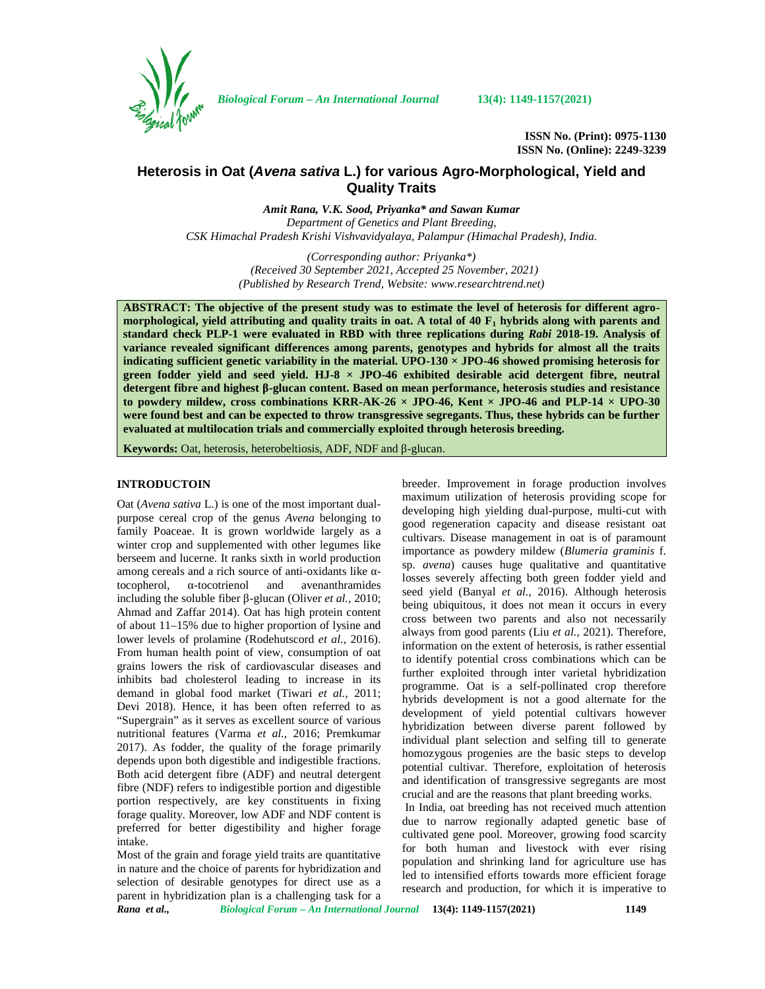

*Biological Forum – An International Journal* **13(4): 1149-1157(2021)**

**ISSN No. (Print): 0975-1130 ISSN No. (Online): 2249-3239**

# **Heterosis in Oat (***Avena sativa* **L.) for various Agro-Morphological, Yield and Quality Traits**

*Amit Rana, V.K. Sood, Priyanka\* and Sawan Kumar Department of Genetics and Plant Breeding, CSK Himachal Pradesh Krishi Vishvavidyalaya, Palampur (Himachal Pradesh), India.*

> *(Corresponding author: Priyanka\*) (Received 30 September 2021, Accepted 25 November, 2021) (Published by Research Trend, Website: [www.researchtrend.net\)](www.researchtrend.net)*

**ABSTRACT: The objective of the present study was to estimate the level of heterosis for different agro morphological, yield attributing and quality traits in oat. A total of 40 F<sup>1</sup> hybrids along with parents and standard check PLP-1 were evaluated in RBD with three replications during** *Rabi* **2018-19. Analysis of variance revealed significant differences among parents, genotypes and hybrids for almost all the traits indicating sufficient genetic variability in the material. UPO-130 × JPO-46 showed promising heterosis for green fodder yield and seed yield. HJ-8 × JPO-46 exhibited desirable acid detergent fibre, neutral detergent fibre and highest** -glucan content. Based on mean performance, heterosis studies and resistance **to powdery mildew, cross combinations KRR-AK-26 × JPO-46, Kent × JPO-46 and PLP-14 × UPO-30 were found best and can be expected to throw transgressive segregants. Thus, these hybrids can be further evaluated at multilocation trials and commercially exploited through heterosis breeding.**

**Keywords:** Oat, heterosis, heterobeltiosis, ADF, NDF and -glucan.

## **INTRODUCTOIN**

Oat (*Avena sativa* L.) is one of the most important dual purpose cereal crop of the genus *Avena* belonging to family Poaceae. It is grown worldwide largely as a winter crop and supplemented with other legumes like berseem and lucerne. It ranks sixth in world production among cereals and a rich source of anti-oxidants like tocopherol, -tocotrienol and avenanthramides including the soluble fiber -glucan (Oliver *et al.*, 2010; Ahmad and Zaffar 2014). Oat has high protein content of about 11–15% due to higher proportion of lysine and lower levels of prolamine (Rodehutscord *et al.,* 2016). From human health point of view, consumption of oat grains lowers the risk of cardiovascular diseases and inhibits bad cholesterol leading to increase in its demand in global food market (Tiwari *et al.,* 2011; Devi 2018). Hence, it has been often referred to as "Supergrain" as it serves as excellent source of various nutritional features (Varma *et al.,* 2016; Premkumar 2017). As fodder, the quality of the forage primarily depends upon both digestible and indigestible fractions. Both acid detergent fibre (ADF) and neutral detergent fibre (NDF) refers to indigestible portion and digestible portion respectively, are key constituents in fixing forage quality. Moreover, low ADF and NDF content is preferred for better digestibility and higher forage intake.

Most of the grain and forage yield traits are quantitative in nature and the choice of parents for hybridization and selection of desirable genotypes for direct use as a parent in hybridization plan is a challenging task for a breeder. Improvement in forage production involves maximum utilization of heterosis providing scope for developing high yielding dual-purpose, multi-cut with good regeneration capacity and disease resistant oat cultivars. Disease management in oat is of paramount importance as powdery mildew (*Blumeria graminis* f. sp. *avena*) causes huge qualitative and quantitative losses severely affecting both green fodder yield and seed yield (Banyal *et al.*, 2016). Although heterosis being ubiquitous, it does not mean it occurs in every cross between two parents and also not necessarily always from good parents (Liu *et al.,* 2021). Therefore, information on the extent of heterosis, is rather essential to identify potential cross combinations which can be further exploited through inter varietal hybridization programme. Oat is a self-pollinated crop therefore hybrids development is not a good alternate for the development of yield potential cultivars however hybridization between diverse parent followed by individual plant selection and selfing till to generate homozygous progenies are the basic steps to develop potential cultivar. Therefore, exploitation of heterosis and identification of transgressive segregants are most crucial and are the reasons that plant breeding works.

In India, oat breeding has not received much attention due to narrow regionally adapted genetic base of cultivated gene pool. Moreover, growing food scarcity for both human and livestock with ever rising population and shrinking land for agriculture use has led to intensified efforts towards more efficient forage research and production, for which it is imperative to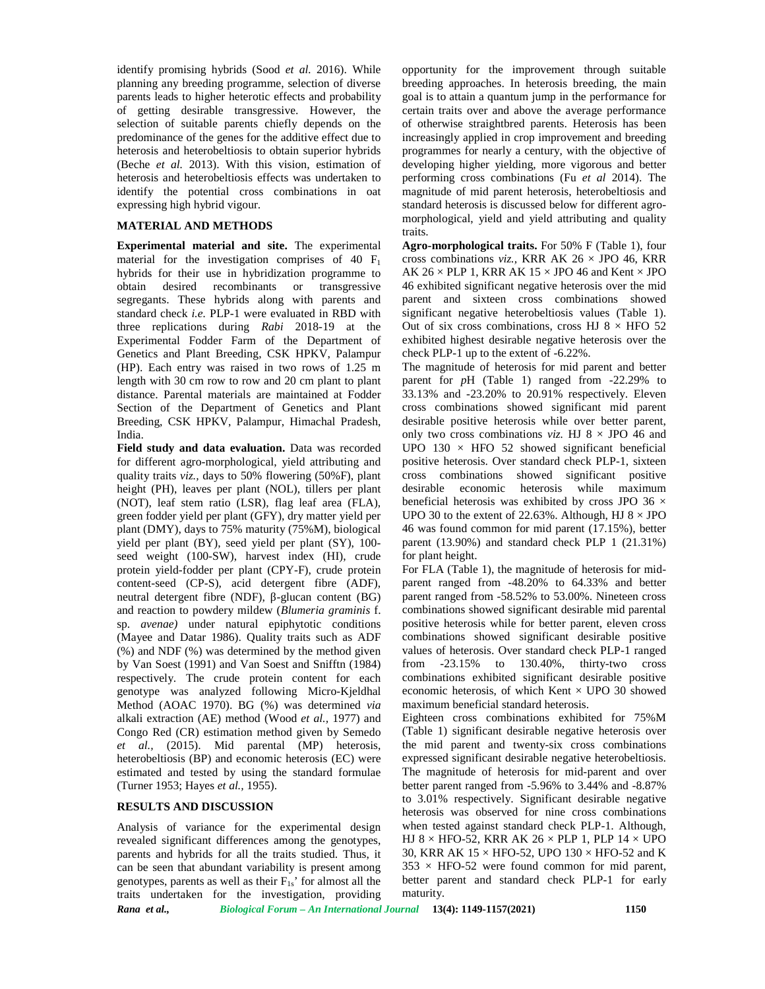identify promising hybrids (Sood *et al.* 2016). While planning any breeding programme, selection of diverse parents leads to higher heterotic effects and probability of getting desirable transgressive. However, the selection of suitable parents chiefly depends on the predominance of the genes for the additive effect due to heterosis and heterobeltiosis to obtain superior hybrids (Beche *et al.* 2013). With this vision, estimation of heterosis and heterobeltiosis effects was undertaken to identify the potential cross combinations in oat expressing high hybrid vigour.

## **MATERIAL AND METHODS**

**Experimental material and site.** The experimental material for the investigation comprises of 40  $F_1$ hybrids for their use in hybridization programme to obtain desired recombinants or transgressive segregants. These hybrids along with parents and standard check *i.e.* PLP-1 were evaluated in RBD with three replications during *Rabi* 2018-19 at the Experimental Fodder Farm of the Department of Genetics and Plant Breeding, CSK HPKV, Palampur (HP). Each entry was raised in two rows of 1.25 m length with 30 cm row to row and 20 cm plant to plant distance. Parental materials are maintained at Fodder Section of the Department of Genetics and Plant Breeding, CSK HPKV, Palampur, Himachal Pradesh, India.

**Field study and data evaluation.** Data was recorded for different agro-morphological, yield attributing and quality traits *viz.,* days to 50% flowering (50%F), plant height (PH), leaves per plant (NOL), tillers per plant desirable (NOT), leaf stem ratio (LSR), flag leaf area (FLA), green fodder yield per plant (GFY), dry matter yield per plant (DMY), days to 75% maturity (75%M), biological yield per plant (BY), seed yield per plant (SY), 100 seed weight (100-SW), harvest index (HI), crude protein yield-fodder per plant (CPY-F), crude protein content-seed (CP-S), acid detergent fibre (ADF), neutral detergent fibre (NDF), -glucan content (BG) and reaction to powdery mildew (*Blumeria graminis* f. sp. *avenae)* under natural epiphytotic conditions (Mayee and Datar 1986). Quality traits such as ADF (%) and NDF (%) was determined by the method given by Van Soest (1991) and Van Soest and Snifftn (1984) respectively. The crude protein content for each genotype was analyzed following Micro-Kjeldhal Method (AOAC 1970). BG (%) was determined *via* alkali extraction (AE) method (Wood *et al.,* 1977) and Congo Red (CR) estimation method given by Semedo *et al.,* (2015). Mid parental (MP) heterosis, heterobeltiosis (BP) and economic heterosis (EC) were estimated and tested by using the standard formulae (Turner 1953; Hayes *et al.,* 1955).

## **RESULTS AND DISCUSSION**

Analysis of variance for the experimental design revealed significant differences among the genotypes, parents and hybrids for all the traits studied. Thus, it can be seen that abundant variability is present among genotypes, parents as well as their  $F_{1s}$ ' for almost all the traits undertaken for the investigation, providing

opportunity for the improvement through suitable breeding approaches. In heterosis breeding, the main goal is to attain a quantum jump in the performance for certain traits over and above the average performance of otherwise straightbred parents. Heterosis has been increasingly applied in crop improvement and breeding programmes for nearly a century, with the objective of developing higher yielding, more vigorous and better performing cross combinations (Fu *et al* 2014). The magnitude of mid parent heterosis, heterobeltiosis and standard heterosis is discussed below for different agro morphological, yield and yield attributing and quality traits.

**Agro-morphological traits.** For 50% F (Table 1), four cross combinations *viz.,* KRR AK 26 × JPO 46, KRR AK 26  $\times$  PLP 1, KRR AK 15  $\times$  JPO 46 and Kent  $\times$  JPO 46 exhibited significant negative heterosis over the mid parent and sixteen cross combinations showed significant negative heterobeltiosis values (Table 1). Out of six cross combinations, cross HJ  $8 \times$  HFO 52 exhibited highest desirable negative heterosis over the check PLP-1 up to the extent of -6.22%.

The magnitude of heterosis for mid parent and better parent for *p*H (Table 1) ranged from -22.29% to 33.13% and -23.20% to 20.91% respectively. Eleven cross combinations showed significant mid parent desirable positive heterosis while over better parent, only two cross combinations *viz*. HJ  $8 \times$  JPO 46 and UPO  $130 \times$  HFO 52 showed significant beneficial positive heterosis. Over standard check PLP-1, sixteen cross combinations showed significant positive economic heterosis while maximum beneficial heterosis was exhibited by cross JPO 36  $\times$ UPO 30 to the extent of 22.63%. Although, HJ  $8 \times$  JPO 46 was found common for mid parent (17.15%), better parent (13.90%) and standard check PLP 1 (21.31%) for plant height.

For FLA (Table 1), the magnitude of heterosis for mid parent ranged from -48.20% to 64.33% and better parent ranged from -58.52% to 53.00%. Nineteen cross combinations showed significant desirable mid parental positive heterosis while for better parent, eleven cross combinations showed significant desirable positive values of heterosis. Over standard check PLP-1 ranged  $-23.15\%$  to  $130.40\%$ , thirty-two cross combinations exhibited significant desirable positive economic heterosis, of which Kent  $\times$  UPO 30 showed maximum beneficial standard heterosis.

Eighteen cross combinations exhibited for 75%M (Table 1) significant desirable negative heterosis over the mid parent and twenty-six cross combinations expressed significant desirable negative heterobeltiosis. The magnitude of heterosis for mid-parent and over better parent ranged from -5.96% to 3.44% and -8.87% to 3.01% respectively. Significant desirable negative heterosis was observed for nine cross combinations when tested against standard check PLP-1. Although, HJ 8  $\times$  HFO-52, KRR AK 26  $\times$  PLP 1, PLP 14  $\times$  UPO 30, KRR AK 15  $\times$  HFO-52, UPO 130  $\times$  HFO-52 and K  $353 \times$  HFO-52 were found common for mid parent, better parent and standard check PLP-1 for early maturity.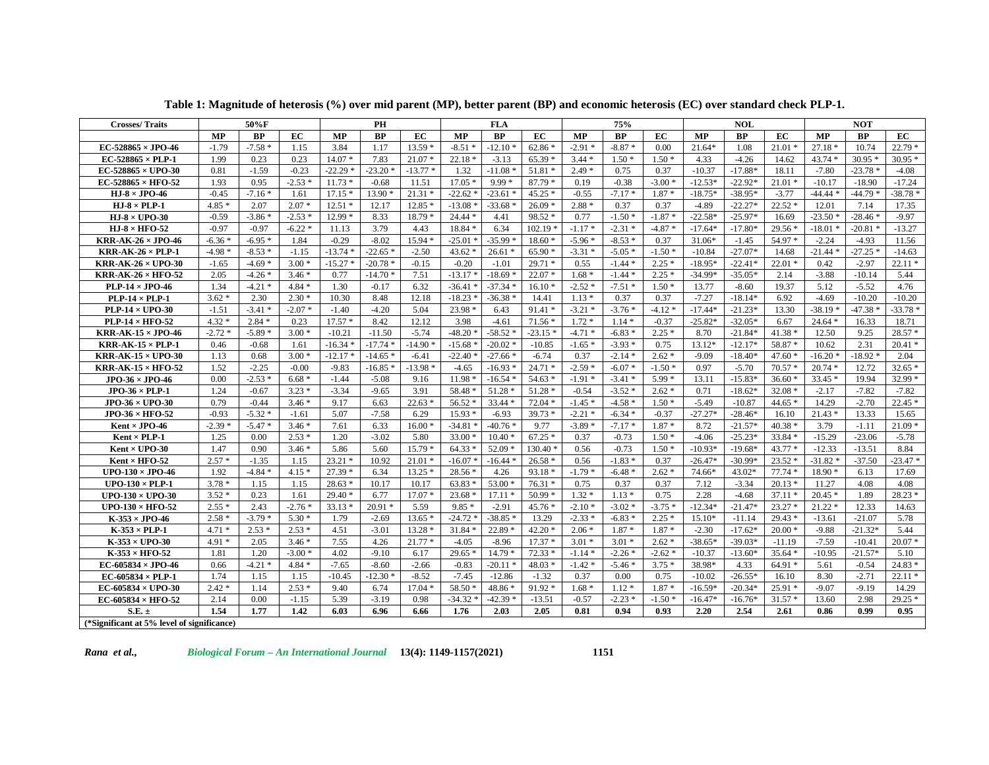| <b>Crosses/Traits</b>                       |          | 50%F      |          |           | PH        |           |           | <b>FLA</b> |           | 75%       |           | <b>NOL</b> |           |           | <b>NOT</b> |           |           |           |
|---------------------------------------------|----------|-----------|----------|-----------|-----------|-----------|-----------|------------|-----------|-----------|-----------|------------|-----------|-----------|------------|-----------|-----------|-----------|
|                                             | MP       | <b>BP</b> | EC       | <b>MP</b> | <b>BP</b> | EC        | <b>MP</b> | <b>BP</b>  | EC        | MP        | <b>BP</b> | EC         | <b>MP</b> | BP        | EC         | <b>MP</b> | <b>BP</b> | EC        |
| $EC$ -528865 $\times$ JPO-46                | $-1.79$  | $-7.58*$  | 1.15     | 3.84      | 1.17      | $13.59*$  | $-8.51*$  | $-12.10*$  | $62.86*$  | $-2.91*$  | $-8.87*$  | 0.00       | 21.64*    | 1.08      | $21.01*$   | $27.18*$  | 10.74     | $22.79*$  |
| EC-528865 $\times$ PLP-1                    | 1.99     | 0.23      | 0.23     | $14.07*$  | 7.83      | $21.07*$  | $22.18*$  | $-3.13$    | $65.39*$  | $3.44*$   | $1.50*$   | $1.50*$    | 4.33      | $-4.26$   | 14.62      | 43.74 *   | $30.95*$  | $30.95*$  |
| $EC$ -528865 $\times$ UPO-30                | 0.81     | $-1.59$   | $-0.23$  | $-22.29$  | $-23.20*$ | $-13.77*$ | 1.32      | $-11.08*$  | $51.81*$  | $2.49*$   | 0.75      | 0.37       | $-10.37$  | $-17.88*$ | 18.11      | $-7.80$   | $-23.78*$ | $-4.08$   |
| $EC$ -528865 $\times$ HFO-52                | 1.93     | 0.95      | $-2.53*$ | $11.73*$  | $-0.68$   | 11.51     | $17.05*$  | $9.99*$    | $87.79*$  | 0.19      | $-0.38$   | $-3.00*$   | $-12.53*$ | $-22.92*$ | $21.01*$   | $-10.17$  | $-18.90$  | $-17.24$  |
| $HJ-8 \times JPO-46$                        | $-0.45$  | $-7.16*$  | 1.61     | $17.15*$  | $13.90*$  | $21.31*$  | $-22.62*$ | $-23.61*$  | $45.25*$  | $-0.55$   | $-7.17*$  | $1.87*$    | $-18.75*$ | $-38.95*$ | $-3.77$    | $-44.44*$ | $-44.79*$ | $-38.78$  |
| $HJ-8 \times PLP-1$                         | $4.85*$  | 2.07      | $2.07*$  | $12.51*$  | 12.17     | $12.85*$  | $-13.08*$ | $-33.68*$  | $26.09*$  | $2.88*$   | 0.37      | 0.37       | $-4.89$   | $-22.27*$ | $22.52*$   | 12.01     | 7.14      | 17.35     |
| $HJ-8 \times UPO-30$                        | $-0.59$  | $-3.86*$  | $-2.53*$ | $12.99*$  | 8.33      | $18.79*$  | $24.44*$  | 4.41       | $98.52*$  | 0.77      | $-1.50*$  | $-1.87*$   | $-22.58*$ | $-25.97*$ | 16.69      | $-23.50*$ | $-28.46*$ | $-9.97$   |
| $HJ-8 \times HFO-52$                        | $-0.97$  | $-0.97$   | $-6.22*$ | 11.13     | 3.79      | 4.43      | 18.84 *   | 6.34       | $102.19*$ | $-1.17*$  | $-2.31*$  | $-4.87*$   | $-17.64*$ | $-17.80*$ | $29.56*$   | $-18.01*$ | $-20.81*$ | $-13.27$  |
| $KRR-AK-26 \times JPO-46$                   | $-6.36*$ | $-6.95*$  | 1.84     | $-0.29$   | $-8.02$   | $15.94*$  | $-25.01*$ | $-35.99*$  | $18.60*$  | $-5.96*$  | $-8.53*$  | 0.37       | $31.06*$  | $-1.45$   | 54.97 *    | $-2.24$   | $-4.93$   | 11.56     |
| $KRR-AK-26 \times PLP-1$                    | $-4.98*$ | $-8.53*$  | $-1.15$  | $-13.74$  | $-22.65*$ | $-2.50$   | $43.62*$  | $26.61*$   | $65.90*$  | $-3.31*$  | $-5.05*$  | $-1.50*$   | $-10.84$  | $-27.07*$ | 14.68      | $-21.44*$ | $-27.25*$ | $-14.63$  |
| <b>KRR-AK-26 <math>\times</math> UPO-30</b> | $-1.65$  | $-4.69*$  | $3.00*$  | $-15.27*$ | $-20.78*$ | $-0.15$   | $-0.20$   | $-1.01$    | $29.71*$  | 0.55      | $-1.44*$  | $2.25*$    | $-18.95*$ | $-22.41*$ | $22.01*$   | 0.42      | $-2.97$   | $22.11*$  |
| KRR-AK-26 $\times$ HFO-52                   | 2.05     | $-4.26*$  | $3.46*$  | 0.77      | $-14.70*$ | 7.51      | $-13.17*$ | $-18.69$   | $22.07*$  | $1.68*$   | $-1.44*$  | $2.25*$    | $-34.99*$ | $-35.05*$ | 2.14       | $-3.88$   | $-10.14$  | 5.44      |
| $PLP-14 \times JPO-46$                      | 1.34     | $-4.21$ * | $4.84 *$ | 1.30      | $-0.17$   | 6.32      | $-36.41*$ | $-37.34$ * | $16.10*$  | $-2.52*$  | $-7.51*$  | $1.50*$    | 13.77     | $-8.60$   | 19.37      | 5.12      | $-5.52$   | 4.76      |
| $PLP-14 \times PLP-1$                       | $3.62*$  | 2.30      | $2.30*$  | 10.30     | 8.48      | 12.18     | $-18.23*$ | $-36.38*$  | 14.41     | $1.13*$   | 0.37      | 0.37       | $-7.27$   | $-18.14*$ | 6.92       | $-4.69$   | $-10.20$  | $-10.20$  |
| $PLP-14 \times UPO-30$                      | $-1.51$  | $-3.41*$  | $-2.07*$ | $-1.40$   | $-4.20$   | 5.04      | 23.98 *   | 6.43       | $91.41*$  | $-3.21*$  | $-3.76*$  | $-4.12*$   | $-17.44*$ | $-21.23*$ | 13.30      | $-38.19*$ | $-47.38*$ | $-33.78*$ |
| $PLP-14 \times HFO-52$                      | $4.32*$  | $2.84*$   | 0.23     | $17.57*$  | 8.42      | 12.12     | 3.98      | $-4.61$    | $71.56*$  | $1.72*$   | $1.14*$   | $-0.37$    | $-25.82*$ | $-32.05*$ | 6.67       | $24.64*$  | 16.33     | 18.71     |
| $KRR-AK-15 \times JPO-46$                   | $-2.72*$ | $-5.89*$  | $3.00*$  | $-10.21$  | $-11.50$  | $-5.74$   | $-48.20*$ | $-58.52*$  | $-23.15*$ | $-4.71*$  | $-6.83*$  | $2.25*$    | 8.70      | $-21.84*$ | $41.38*$   | 12.50     | 9.25      | $28.57*$  |
| $KRR-AK-15 \times PLP-1$                    | 0.46     | $-0.68$   | 1.61     | $-16.34*$ | $-17.74*$ | $-14.90*$ | $-15.68*$ | $-20.02*$  | $-10.85$  | $-1.65*$  | $-3.93*$  | 0.75       | 13.12*    | $-12.17*$ | 58.87 *    | 10.62     | 2.31      | $20.41*$  |
| $KRR-AK-15 \times UPO-30$                   | 1.13     | 0.68      | $3.00*$  | $-12.17$  | $-14.65*$ | $-6.41$   | $-22.40*$ | $-27.66*$  | $-6.74$   | 0.37      | $-2.14*$  | $2.62*$    | $-9.09$   | $-18.40*$ | $47.60*$   | $-16.20*$ | $-18.92*$ | 2.04      |
| $\textbf{KRR-AK-15}\times\textbf{HFO-52}$   | 1.52     | $-2.25$   | $-0.00$  | $-9.83$   | $-16.85*$ | $-13.98*$ | $-4.65$   | $-16.93*$  | $24.71*$  | $-2.59*$  | $-6.07*$  | $-1.50*$   | 0.97      | $-5.70$   | $70.57*$   | $20.74*$  | 12.72     | $32.65*$  |
| $JPO-36 \times JPO-46$                      | 0.00     | $-2.53*$  | $6.68*$  | $-1.44$   | $-5.08$   | 9.16      | $11.98*$  | $-16.54*$  | $54.63*$  | $-1.91*$  | $-3.41*$  | $5.99*$    | 13.11     | $-15.83*$ | $36.60*$   | $33.45*$  | 19.94     | $32.99*$  |
| $JPO-36 \times PLP-1$                       | 1.24     | $-0.67$   | $3.23*$  | $-3.34$   | $-9.65$   | 3.91      | 58.48 *   | $51.28*$   | $51.28*$  | $-0.54$   | $-3.52*$  | $2.62*$    | 0.71      | $-18.62*$ | $32.08*$   | $-2.17$   | $-7.82$   | $-7.82$   |
| $JPO-36 \times UPO-30$                      | 0.79     | $-0.44$   | $3.46*$  | 9.17      | 6.63      | $22.63*$  | $56.52*$  | $33.44*$   | $72.04*$  | $-1.45*$  | $-4.58*$  | $1.50*$    | $-5.49$   | $-10.87$  | $44.65*$   | 14.29     | $-2.70$   | $22.45*$  |
| $JPO-36 \times HFO-52$                      | $-0.93$  | $-5.32*$  | $-1.61$  | 5.07      | $-7.58$   | 6.29      | $15.93*$  | $-6.93$    | $39.73*$  | $-2.21$ * | $-6.34*$  | $-0.37$    | $-27.27*$ | $-28.46*$ | 16.10      | $21.43*$  | 13.33     | 15.65     |
| Kent $\times$ JPO-46                        | $-2.39*$ | $-5.47*$  | $3.46*$  | 7.61      | 6.33      | $16.00*$  | $-34.81*$ | $-40.76$ * | 9.77      | $-3.89*$  | $-7.17*$  | $1.87*$    | 8.72      | $-21.57*$ | $40.38*$   | 3.79      | $-1.11$   | $21.09*$  |
| $Kent \times PLP-1$                         | 1.25     | 0.00      | $2.53*$  | 1.20      | $-3.02$   | 5.80      | $33.00*$  | $10.40*$   | $67.25*$  | 0.37      | $-0.73$   | $1.50*$    | $-4.06$   | $-25.23*$ | $33.84*$   | $-15.29$  | $-23.06$  | $-5.78$   |
| $Kent \times UPO-30$                        | 1.47     | 0.90      | $3.46*$  | 5.86      | 5.60      | $15.79*$  | $64.33*$  | $52.09*$   | $130.40*$ | 0.56      | $-0.73$   | $1.50*$    | $-10.93*$ | $-19.68*$ | $43.77*$   | $-12.33$  | $-13.51$  | 8.84      |
| $Kent \times HFO-52$                        | $2.57*$  | $-1.35$   | 1.15     | $23.21*$  | 10.92     | $21.01*$  | $-16.07*$ | $-16.44*$  | $26.58*$  | 0.56      | $-1.83*$  | 0.37       | $-26.47*$ | $-30.99*$ | $23.52*$   | $-31.82*$ | $-37.50$  | $-23.47*$ |
| UPO-130 $\times$ JPO-46                     | 1.92     | $-4.84*$  | $4.15*$  | $27.39*$  | 6.34      | $13.25*$  | $28.56*$  | 4.26       | $93.18*$  | $-1.79*$  | $-6.48*$  | $2.62*$    | 74.66*    | 43.02*    | $77.74*$   | $18.90*$  | 6.13      | 17.69     |
| $UPO-130 \times PLP-1$                      | $3.78*$  | 1.15      | 1.15     | $28.63*$  | 10.17     | 10.17     | $63.83*$  | $53.00*$   | $76.31*$  | 0.75      | 0.37      | 0.37       | 7.12      | $-3.34$   | $20.13*$   | 11.27     | 4.08      | 4.08      |
| UPO-130 $\times$ UPO-30                     | $3.52*$  | 0.23      | 1.61     | $29.40*$  | 6.77      | $17.07*$  | $23.68*$  | $17.11*$   | $50.99*$  | $1.32*$   | $1.13*$   | 0.75       | 2.28      | $-4.68$   | $37.11*$   | $20.45*$  | 1.89      | $28.23*$  |
| UPO-130 $\times$ HFO-52                     | $2.55*$  | 2.43      | $-2.76*$ | $33.13*$  | $20.91*$  | 5.59      | $9.85*$   | $-2.91$    | $45.76*$  | $-2.10*$  | $-3.02*$  | $-3.75*$   | $-12.34*$ | $-21.47*$ | $23.27*$   | $21.22*$  | 12.33     | 14.63     |
| $K-353 \times JPO-46$                       | $2.58*$  | $-3.79*$  | $5.30*$  | 1.79      | $-2.69$   | 13.65     | $-24.72*$ | $-38.85$   | 13.29     | $-2.33*$  | $-6.83*$  | $2.25*$    | 15.10*    | $-11.14$  | $29.43*$   | $-13.61$  | $-21.07$  | 5.78      |
| $K-353 \times PLP-1$                        | $4.71*$  | $2.53*$   | $2.53*$  | 4.51      | $-3.01$   | $13.28*$  | $31.84*$  | $22.89*$   | $42.20*$  | $2.06*$   | $1.87*$   | $1.87*$    | $-2.30$   | $-17.62*$ | $20.00*$   | $-9.88$   | $-21.32*$ | 5.44      |
| $K-353 \times UPO-30$                       | $4.91*$  | 2.05      | $3.46*$  | 7.55      | 4.26      | $21.77*$  | $-4.05$   | $-8.96$    | $17.37*$  | $3.01*$   | $3.01*$   | $2.62*$    | $-38.65*$ | $-39.03*$ | $-11.19$   | $-7.59$   | $-10.41$  | $20.07*$  |
| $K-353 \times HFO-52$                       | 1.81     | 1.20      | $-3.00*$ | 4.02      | $-9.10$   | 6.17      | $29.65*$  | $14.79*$   | $72.33*$  | $-1.14*$  | $-2.26*$  | $-2.62*$   | $-10.37$  | $-13.60*$ | $35.64*$   | $-10.95$  | $-21.57*$ | 5.10      |
| EC-605834 $\times$ JPO-46                   | 0.66     | $-4.21*$  | $4.84 *$ | $-7.65$   | $-8.60$   | $-2.66$   | $-0.83$   | $-20.11*$  | $48.03*$  | $-1.42*$  | $-5.46*$  | $3.75*$    | 38.98*    | 4.33      | $64.91*$   | 5.61      | $-0.54$   | $24.83*$  |
| EC-605834 $\times$ PLP-1                    | 1.74     | 1.15      | 1.15     | $-10.45$  | $-12.30*$ | $-8.52$   | $-7.45$   | $-12.86$   | $-1.32$   | 0.37      | 0.00      | 0.75       | $-10.02$  | $-26.55*$ | 16.10      | 8.30      | $-2.71$   | $22.11*$  |
| $EC-605834 \times UPO-30$                   | $2.42*$  | 1.14      | $2.53*$  | 9.40      | 6.74      | $17.04*$  | 58.50 *   | 48.86 *    | 91.92 *   | $1.68*$   | $1.12*$   | $1.87 *$   | $-16.59*$ | $-20.34*$ | $25.91*$   | $-9.07$   | $-9.19$   | 14.29     |
| EC-605834 $\times$ HFO-52                   | 2.14     | 0.00      | $-1.15$  | 5.39      | $-3.19$   | 0.98      | $-34.32$  | $-42.39$ * | $-13.51$  | $-0.57$   | $-2.23*$  | $-1.50*$   | $-16.47*$ | $-16.76*$ | $31.57*$   | 13.60     | 2.98      | $29.25*$  |
| $S.E. \pm$                                  | 1.54     | 1.77      | 1.42     | 6.03      | 6.96      | 6.66      | 1.76      | 2.03       | 2.05      | 0.81      | 0.94      | 0.93       | 2.20      | 2.54      | 2.61       | 0.86      | 0.99      | 0.95      |
| (*Significant at 5% level of significance)  |          |           |          |           |           |           |           |            |           |           |           |            |           |           |            |           |           |           |

**Table 1: Magnitude of heterosis (%) over mid parent (MP), better parent (BP) and economic heterosis (EC) over standard check PLP-1.**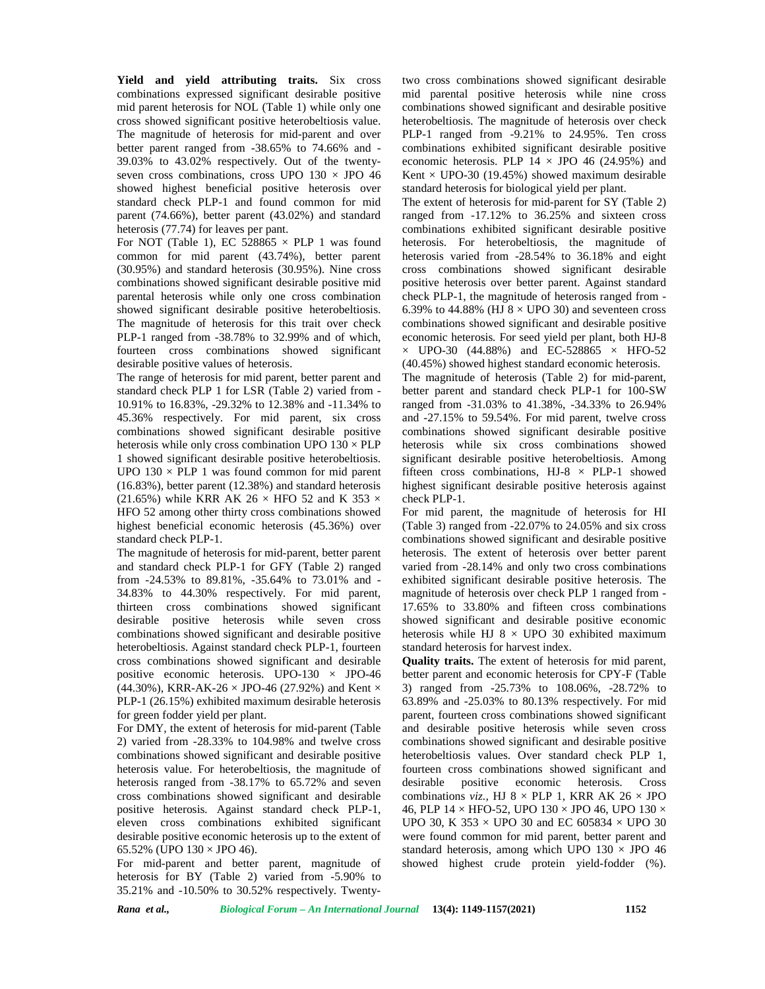**Yield and yield attributing traits.** Six cross combinations expressed significant desirable positive mid parent heterosis for NOL (Table 1) while only one cross showed significant positive heterobeltiosis value. The magnitude of heterosis for mid-parent and over better parent ranged from -38.65% to 74.66% and - 39.03% to 43.02% respectively. Out of the twenty seven cross combinations, cross UPO  $130 \times$  JPO 46 showed highest beneficial positive heterosis over standard check PLP-1 and found common for mid parent (74.66%), better parent (43.02%) and standard heterosis (77.74) for leaves per pant.

For NOT (Table 1), EC 528865  $\times$  PLP 1 was found common for mid parent (43.74%), better parent (30.95%) and standard heterosis (30.95%). Nine cross combinations showed significant desirable positive mid parental heterosis while only one cross combination showed significant desirable positive heterobeltiosis. The magnitude of heterosis for this trait over check PLP-1 ranged from -38.78% to 32.99% and of which, fourteen cross combinations showed significant desirable positive values of heterosis.

The range of heterosis for mid parent, better parent and standard check PLP 1 for LSR (Table 2) varied from - 10.91% to 16.83%, -29.32% to 12.38% and -11.34% to 45.36% respectively. For mid parent, six cross combinations showed significant desirable positive heterosis while only cross combination UPO  $130 \times PLP$ 1 showed significant desirable positive heterobeltiosis. UPO  $130 \times PLP$  1 was found common for mid parent (16.83%), better parent (12.38%) and standard heterosis (21.65%) while KRR AK 26  $\times$  HFO 52 and K 353  $\times$ HFO 52 among other thirty cross combinations showed highest beneficial economic heterosis (45.36%) over standard check PLP-1.

The magnitude of heterosis for mid-parent, better parent and standard check PLP-1 for GFY (Table 2) ranged from -24.53% to 89.81%, -35.64% to 73.01% and - 34.83% to 44.30% respectively. For mid parent, thirteen cross combinations showed significant desirable positive heterosis while seven cross combinations showed significant and desirable positive heterobeltiosis. Against standard check PLP-1, fourteen cross combinations showed significant and desirable positive economic heterosis. UPO-130  $\times$  JPO-46 (44.30%), KRR-AK-26  $\times$  JPO-46 (27.92%) and Kent  $\times$ PLP-1 (26.15%) exhibited maximum desirable heterosis for green fodder yield per plant.

For DMY, the extent of heterosis for mid-parent (Table 2) varied from -28.33% to 104.98% and twelve cross combinations showed significant and desirable positive heterosis value. For heterobeltiosis, the magnitude of heterosis ranged from -38.17% to 65.72% and seven desirable cross combinations showed significant and desirable positive heterosis*.* Against standard check PLP-1, eleven cross combinations exhibited significant desirable positive economic heterosis up to the extent of 65.52% (UPO  $130 \times$  JPO 46).

For mid-parent and better parent, magnitude of heterosis for BY (Table 2) varied from -5.90% to 35.21% and -10.50% to 30.52% respectively. Twentytwo cross combinations showed significant desirable mid parental positive heterosis while nine cross combinations showed significant and desirable positive heterobeltiosis*.* The magnitude of heterosis over check PLP-1 ranged from -9.21% to 24.95%. Ten cross combinations exhibited significant desirable positive economic heterosis. PLP  $14 \times$  JPO 46 (24.95%) and Kent  $\times$  UPO-30 (19.45%) showed maximum desirable standard heterosis for biological yield per plant.

The extent of heterosis for mid-parent for SY (Table 2) ranged from -17.12% to 36.25% and sixteen cross combinations exhibited significant desirable positive heterosis. For heterobeltiosis, the magnitude of heterosis varied from -28.54% to 36.18% and eight cross combinations showed significant desirable positive heterosis over better parent. Against standard check PLP-1, the magnitude of heterosis ranged from - 6.39% to 44.88% (HJ  $8 \times$  UPO 30) and seventeen cross combinations showed significant and desirable positive economic heterosis*.* For seed yield per plant, both HJ-8  $\times$  UPO-30 (44.88%) and EC-528865  $\times$  HFO-52 (40.45%) showed highest standard economic heterosis.

The magnitude of heterosis (Table 2) for mid-parent, better parent and standard check PLP-1 for 100-SW ranged from -31.03% to 41.38%, -34.33% to 26.94% and -27.15% to 59.54%. For mid parent, twelve cross combinations showed significant desirable positive heterosis while six cross combinations showed significant desirable positive heterobeltiosis. Among fifteen cross combinations,  $HJ-8 \times PLP-1$  showed highest significant desirable positive heterosis against check PLP-1.

For mid parent, the magnitude of heterosis for HI (Table 3) ranged from -22.07% to 24.05% and six cross combinations showed significant and desirable positive heterosis. The extent of heterosis over better parent varied from -28.14% and only two cross combinations exhibited significant desirable positive heterosis. The magnitude of heterosis over check PLP 1 ranged from - 17.65% to 33.80% and fifteen cross combinations showed significant and desirable positive economic heterosis while HJ  $8 \times$  UPO 30 exhibited maximum standard heterosis for harvest index.

**Quality traits.** The extent of heterosis for mid parent, better parent and economic heterosis for CPY-F (Table 3) ranged from -25.73% to 108.06%, -28.72% to 63.89% and -25.03% to 80.13% respectively. For mid parent, fourteen cross combinations showed significant and desirable positive heterosis while seven cross combinations showed significant and desirable positive heterobeltiosis values. Over standard check PLP 1, fourteen cross combinations showed significant and positive economic heterosis. Cross combinations *viz.*, HJ  $8 \times$  PLP 1, KRR AK  $26 \times$  JPO 46, PLP  $14 \times$  HFO-52, UPO  $130 \times$  JPO 46, UPO  $130 \times$ UPO 30, K 353  $\times$  UPO 30 and EC 605834  $\times$  UPO 30 were found common for mid parent, better parent and standard heterosis, among which UPO  $130 \times$  JPO 46 showed highest crude protein yield-fodder (%).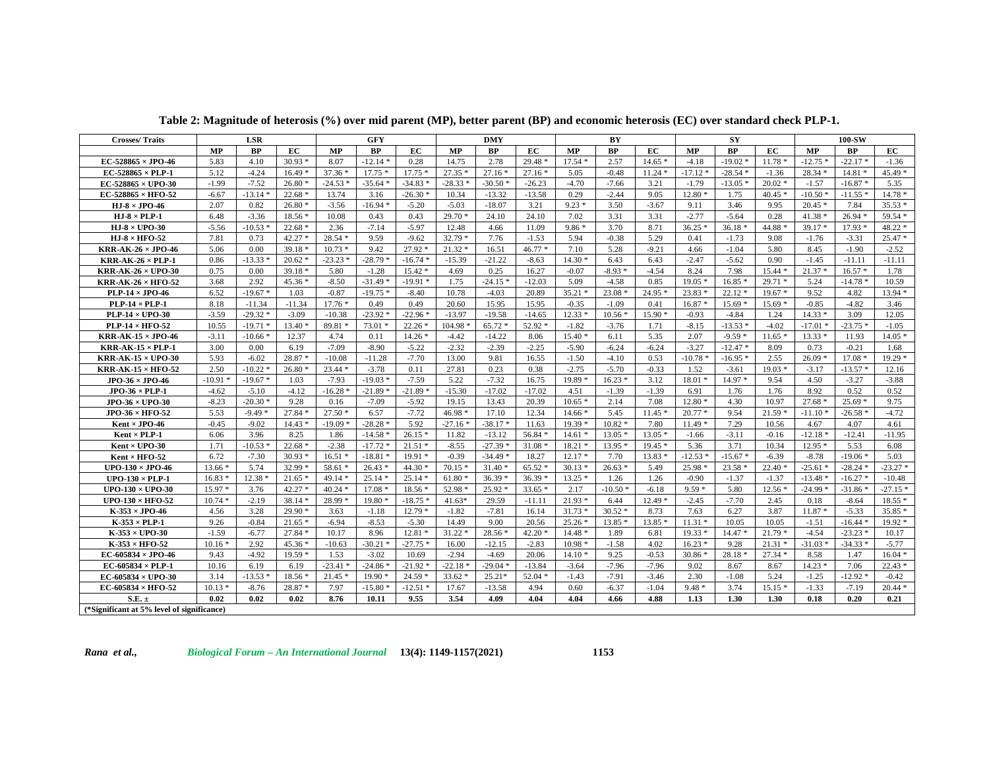| <b>Crosses/Traits</b>                       |           | LSR       |          |           | GFY       |           |           | DMY       |          |          | BY        |          |           | SY        |          |           | <b>100-SW</b> |           |  |
|---------------------------------------------|-----------|-----------|----------|-----------|-----------|-----------|-----------|-----------|----------|----------|-----------|----------|-----------|-----------|----------|-----------|---------------|-----------|--|
|                                             | <b>MP</b> | <b>BP</b> | EC       | MP        | BP        | EC        | MP        | <b>BP</b> | EC       | MP       | BP        | ЕC       | <b>MP</b> | <b>BP</b> | EC       | MP        | <b>BP</b>     | EC        |  |
| EC-528865 $\times$ JPO-46                   | 5.83      | 4.10      | $30.93*$ | 8.07      | $-12.14*$ | 0.28      | 14.75     | 2.78      | $29.48*$ | $17.54*$ | 2.57      | $14.65*$ | $-4.18$   | $-19.02*$ | $11.78*$ | $-12.75*$ | $-22.17*$     | $-1.36$   |  |
| EC-528865 $\times$ PLP-1                    | 5.12      | $-4.24$   | $16.49*$ | $37.36*$  | $17.75*$  | $17.75*$  | $27.35*$  | $27.16*$  | $27.16*$ | 5.05     | $-0.48$   | $11.24*$ | $-17.12*$ | $-28.54*$ | $-1.36$  | 28.34 *   | $14.81*$      | 45.49 *   |  |
| EC-528865 $\times$ UPO-30                   | $-1.99$   | $-7.52$   | $26.80*$ | $-24.53*$ | $-35.64*$ | $-34.83*$ | $-28.33*$ | $-30.50*$ | $-26.23$ | $-4.70$  | $-7.66$   | 3.21     | $-1.79$   | $-13.05*$ | $20.02*$ | $-1.57$   | $-16.87*$     | 5.35      |  |
| EC-528865 $\times$ HFO-52                   | $-6.67$   | $-13.14*$ | $22.68*$ | 13.74     | 3.16      | $-26.30*$ | 10.34     | $-13.32$  | $-13.58$ | 0.29     | $-2.44$   | 9.05     | $12.80*$  | 1.75      | $40.45*$ | $-10.50*$ | $-11.55*$     | $14.78*$  |  |
| HJ- $8 \times$ JPO-46                       | 2.07      | 0.82      | $26.80*$ | $-3.56$   | $-16.94*$ | $-5.20$   | $-5.03$   | $-18.07$  | 3.21     | $9.23*$  | 3.50      | $-3.67$  | 9.11      | 3.46      | 9.95     | $20.45*$  | 7.84          | $35.53*$  |  |
| HJ $8 \times PLP - 1$                       | 6.48      | $-3.36$   | $18.56*$ | 10.08     | 0.43      | 0.43      | $29.70*$  | 24.10     | 24.10    | 7.02     | 3.31      | 3.31     | $-2.77$   | $-5.64$   | 0.28     | $41.38*$  | $26.94*$      | 59.54 *   |  |
| HJ $8 \times$ UPO 30                        | $-5.56$   | $-10.53*$ | $22.68*$ | 2.36      | $-7.14$   | $-5.97$   | 12.48     | 4.66      | 11.09    | $9.86*$  | 3.70      | 8.71     | $36.25*$  | $36.18*$  | 44.88 *  | 39.17 *   | $17.93*$      | 48.22 *   |  |
| HJ $8 \times$ HFO 52                        | 7.81      | 0.73      | $42.27*$ | $28.54*$  | 9.59      | $-9.62$   | $32.79*$  | 7.76      | $-1.53$  | 5.94     | $-0.38$   | 5.29     | 0.41      | $-1.73$   | 9.08     | $-1.76$   | $-3.31$       | $25.47*$  |  |
| KRR-AK-26 $\times$ JPO-46                   | 5.06      | 0.00      | $39.18*$ | $10.73*$  | 9.42      | $27.92*$  | $21.32*$  | 16.51     | $46.77*$ | 7.10     | 5.28      | $-9.21$  | 4.66      | $-1.04$   | 5.80     | 8.45      | $-1.90$       | $-2.52$   |  |
| <b>KRR-AK-26 <math>\times</math> PLP-1</b>  | 0.86      | $-13.33*$ | $20.62*$ | $-23.23*$ | $-28.79*$ | $-16.74*$ | $-15.39$  | $-21.22$  | $-8.63$  | $14.30*$ | 6.43      | 6.43     | $-2.47$   | $-5.62$   | 0.90     | $-1.45$   | $-11.11$      | $-11.11$  |  |
| <b>KRR-AK-26 × UPO-30</b>                   | 0.75      | 0.00      | $39.18*$ | 5.80      | $-1.28$   | $15.42*$  | 4.69      | 0.25      | 16.27    | $-0.07$  | $-8.93*$  | $-4.54$  | 8.24      | 7.98      | $15.44*$ | $21.37*$  | $16.57*$      | 1.78      |  |
| <b>KRR-AK-26 <math>\times</math> HFO-52</b> | 3.68      | 2.92      | $45.36*$ | $-8.50$   | $-31.49*$ | $-19.91*$ | 1.75      | $-24.15*$ | $-12.03$ | 5.09     | $-4.58$   | 0.85     | $19.05*$  | $16.85*$  | $29.71*$ | 5.24      | $-14.78*$     | 10.59     |  |
| $PLP-14 \times JPO-46$                      | 6.52      | $-19.67*$ | 1.03     | $-0.87$   | $-19.75*$ | $-8.40$   | 10.78     | $-4.03$   | 20.89    | $35.21*$ | $23.08*$  | 24.95 *  | $23.83*$  | $22.12*$  | $19.67*$ | 9.52      | 4.82          | $13.94*$  |  |
| $PLP-14 \times PLP-1$                       | 8.18      | $-11.34$  | $-11.34$ | $17.76*$  | 0.49      | 0.49      | 20.60     | 15.95     | 15.95    | $-0.35$  | $-1.09$   | 0.41     | $16.87*$  | $15.69*$  | $15.69*$ | $-0.85$   | $-4.82$       | 3.46      |  |
| PLP-14 $\times$ UPO-30                      | $-3.59$   | $-29.32*$ | $-3.09$  | $-10.38$  | $-23.92*$ | $-22.96*$ | $-13.97$  | $-19.58$  | $-14.65$ | $12.33*$ | $10.56*$  | $15.90*$ | $-0.93$   | $-4.84$   | 1.24     | $14.33*$  | 3.09          | 12.05     |  |
| $PLP-14 \times HFO-52$                      | 10.55     | $-19.71*$ | $13.40*$ | 89.81 *   | $73.01*$  | $22.26*$  | $104.98*$ | $65.72*$  | $52.92*$ | $-1.82$  | $-3.76$   | 1.71     | $-8.15$   | $-13.53*$ | $-4.02$  | $-17.01*$ | $-23.75*$     | $-1.05$   |  |
| <b>KRR-AK-15 <math>\times</math> JPO-46</b> | $-3.11$   | $-10.66*$ | 12.37    | 4.74      | 0.11      | $14.26*$  | $-4.42$   | $-14.22$  | 8.06     | $15.40*$ | 6.11      | 5.35     | 2.07      | $-9.59*$  | $11.65*$ | $13.33*$  | 11.93         | $14.05*$  |  |
| <b>KRR-AK-15 <math>\times</math> PLP-1</b>  | 3.00      | 0.00      | 6.19     | $-7.09$   | $-8.90$   | $-5.22$   | $-2.32$   | $-2.39$   | $-2.25$  | $-5.90$  | $-6.24$   | $-6.24$  | $-3.27$   | $-12.47*$ | 8.09     | 0.73      | $-0.21$       | 1.68      |  |
| <b>KRR-AK-15 × UPO-30</b>                   | 5.93      | $-6.02$   | $28.87*$ | $-10.08$  | $-11.28$  | $-7.70$   | 13.00     | 9.81      | 16.55    | $-1.50$  | $-4.10$   | 0.53     | $-10.78*$ | $-16.95*$ | 2.55     | $26.09*$  | $17.08*$      | $19.29*$  |  |
| <b>KRR-AK-15 <math>\times</math> HFO-52</b> | 2.50      | $-10.22*$ | $26.80*$ | $23.44*$  | $-3.78$   | 0.11      | 27.81     | 0.23      | 0.38     | $-2.75$  | $-5.70$   | $-0.33$  | 1.52      | $-3.61$   | $19.03*$ | $-3.17$   | $-13.57*$     | 12.16     |  |
| $JPO-36 \times JPO-46$                      | $-10.91$  | $-19.67*$ | 1.03     | $-7.93$   | $-19.03*$ | $-7.59$   | 5.22      | $-7.32$   | 16.75    | 19.89 *  | $16.23*$  | 3.12     | $18.01*$  | 14.97 *   | 9.54     | 4.50      | $-3.27$       | $-3.88$   |  |
| $JPO-36 \times PLP-1$                       | $-4.62$   | $-5.10$   | $-4.12$  | $-16.28*$ | $-21.89*$ | $-21.89*$ | $-15.30$  | $-17.02$  | $-17.02$ | 4.51     | $-1.39$   | $-1.39$  | 6.91      | 1.76      | 1.76     | 8.92      | 0.52          | 0.52      |  |
| JPO $36 \times$ UPO 30                      | $-8.23$   | $-20.30*$ | 9.28     | 0.16      | $-7.09$   | $-5.92$   | 19.15     | 13.43     | 20.39    | $10.65*$ | 2.14      | 7.08     | $12.80*$  | 4.30      | 10.97    | $27.68*$  | $25.69*$      | 9.75      |  |
| JPO $36 \times$ HFO 52                      | 5.53      | $-9.49*$  | $27.84*$ | $27.50*$  | 6.57      | $-7.72$   | $46.98*$  | 17.10     | 12.34    | $14.66*$ | 5.45      | $11.45*$ | $20.77*$  | 9.54      | $21.59*$ | $-11.10*$ | $-26.58*$     | $-4.72$   |  |
| $Kent \times JPO-46$                        | $-0.45$   | $-9.02$   | $14.43*$ | $-19.09*$ | $-28.28*$ | 5.92      | $-27.16*$ | $-38.17*$ | 11.63    | $19.39*$ | $10.82*$  | 7.80     | $11.49*$  | 7.29      | 10.56    | 4.67      | 4.07          | 4.61      |  |
| $Kent \times PLP-1$                         | 6.06      | 3.96      | 8.25     | 1.86      | $-14.58*$ | $26.15*$  | 11.82     | $-13.12$  | $56.84*$ | $14.61*$ | $13.05*$  | $13.05*$ | $-1.66$   | $-3.11$   | $-0.16$  | $-12.18*$ | $-12.41$      | $-11.95$  |  |
| $Kent \times UPO-30$                        | 1.71      | $-10.53*$ | $22.68*$ | $-2.38$   | $-17.72*$ | $21.51*$  | $-8.55$   | $-27.39$  | $31.08*$ | $18.21*$ | $13.95*$  | $19.45*$ | 5.36      | 3.71      | 10.34    | $12.95*$  | 5.53          | 6.08      |  |
| Kent $\times$ HFO-52                        | 6.72      | $-7.30$   | $30.93*$ | $16.51*$  | $-18.81*$ | $19.91*$  | $-0.39$   | $-34.49*$ | 18.27    | $12.17*$ | 7.70      | $13.83*$ | $-12.53*$ | $-15.67*$ | $-6.39$  | $-8.78$   | $-19.06*$     | 5.03      |  |
| UPO $130 \times JPO$ 46                     | $13.66*$  | 5.74      | $32.99*$ | $58.61*$  | $26.43*$  | $44.30*$  | $70.15*$  | $31.40*$  | $65.52*$ | $30.13*$ | $26.63*$  | 5.49     | $25.98*$  | $23.58*$  | $22.40*$ | $-25.61*$ | $-28.24*$     | $-23.27*$ |  |
| UPO $130 \times PLP$ -1                     | $16.83*$  | $12.38*$  | $21.65*$ | 49.14 *   | $25.14*$  | $25.14*$  | $61.80*$  | $36.39*$  | $36.39*$ | $13.25*$ | 1.26      | 1.26     | $-0.90$   | $-1.37$   | $-1.37$  | $-13.48*$ | $-16.27*$     | $-10.48$  |  |
| UPO-130 $\times$ UPO-30                     | $15.97*$  | 3.76      | 42.27 *  | $40.24*$  | $17.08*$  | $18.56*$  | 52.98 *   | 25.92 *   | $33.65*$ | 2.17     | $-10.50*$ | $-6.18$  | $9.59*$   | 5.80      | $12.56*$ | $-24.99*$ | $-31.86*$     | $-27.15*$ |  |
| UPO-130 $\times$ HFO-52                     | $10.74*$  | $-2.19$   | $38.14*$ | 28.99 *   | $19.80*$  | $-18.75*$ | $41.63*$  | 29.59     | $-11.11$ | $21.93*$ | 6.44      | $12.49*$ | $-2.45$   | $-7.70$   | 2.45     | 0.18      | $-8.64$       | $18.55*$  |  |
| K $353 \times JPO$ 46                       | 4.56      | 3.28      | $29.90*$ | 3.63      | $-1.18$   | $12.79*$  | $-1.82$   | $-7.81$   | 16.14    | $31.73*$ | $30.52*$  | 8.73     | 7.63      | 6.27      | 3.87     | $11.87*$  | $-5.33$       | $35.85*$  |  |
| $K-353 \times PLP-1$                        | 9.26      | $-0.84$   | $21.65*$ | $-6.94$   | $-8.53$   | $-5.30$   | 14.49     | 9.00      | 20.56    | $25.26*$ | $13.85*$  | $13.85*$ | $11.31*$  | 10.05     | 10.05    | $-1.51$   | $-16.44*$     | $19.92*$  |  |
| K $-353 \times$ UPO 30                      | $-1.59$   | $-6.77$   | 27.84 *  | 10.17     | 8.96      | $12.81*$  | $31.22*$  | 28.56 *   | $42.20*$ | $14.48*$ | 1.89      | 6.81     | $19.33*$  | $14.47*$  | $21.79*$ | $-4.54$   | $-23.23*$     | 10.17     |  |
| K-353 × HFO-52                              | $10.16*$  | 2.92      | $45.36*$ | $-10.63$  | $-30.21*$ | $-27.75*$ | 16.00     | $-12.15$  | $-2.83$  | $10.98*$ | $-1.58$   | 4.02     | $16.23*$  | 9.28      | $21.31*$ | $-31.03*$ | $-34.33*$     | $-5.77$   |  |
| EC-605834 $\times$ JPO-46                   | 9.43      | $-4.92$   | $19.59*$ | 1.53      | $-3.02$   | 10.69     | $-2.94$   | $-4.69$   | 20.06    | $14.10*$ | 9.25      | $-0.53$  | $30.86*$  | $28.18*$  | $27.34*$ | 8.58      | 1.47          | $16.04*$  |  |
| $EC-605834 \times PLP-1$                    | 10.16     | 6.19      | 6.19     | $-23.41$  | $-24.86*$ | $-21.92*$ | $-22.18*$ | $-29.04*$ | $-13.84$ | $-3.64$  | $-7.96$   | $-7.96$  | 9.02      | 8.67      | 8.67     | $14.23*$  | 7.06          | $22.43*$  |  |
| EC-605834 $\times$ UPO-30                   | 3.14      | $-13.53*$ | $18.56*$ | $21.45*$  | $19.90*$  | $24.59*$  | $33.62*$  | $25.21*$  | $52.04*$ | $-1.43$  | $-7.91$   | $-3.46$  | 2.30      | $-1.08$   | 5.24     | $-1.25$   | $-12.92*$     | $-0.42$   |  |
| EC-605834 $\times$ HFO-52                   | $10.13*$  | $-8.76$   | 28.87 *  | 7.97      | $-15.80*$ | $-12.51*$ | 17.67     | $-13.58$  | 4.94     | 0.60     | $-6.37$   | $-1.04$  | $9.48*$   | 3.74      | $15.15*$ | $-1.33$   | $-7.19$       | $20.44*$  |  |
| $S.E. \pm$                                  | 0.02      | 0.02      | 0.02     | 8.76      | 10.11     | 9.55      | 3.54      | 4.09      | 4.04     | 4.04     | 4.66      | 4.88     | 1.13      | 1.30      | 1.30     | 0.18      | 0.20          | 0.21      |  |

**Table 2: Magnitude of heterosis (%) over mid parent (MP), better parent (BP) and economic heterosis (EC) over standard check PLP-1.**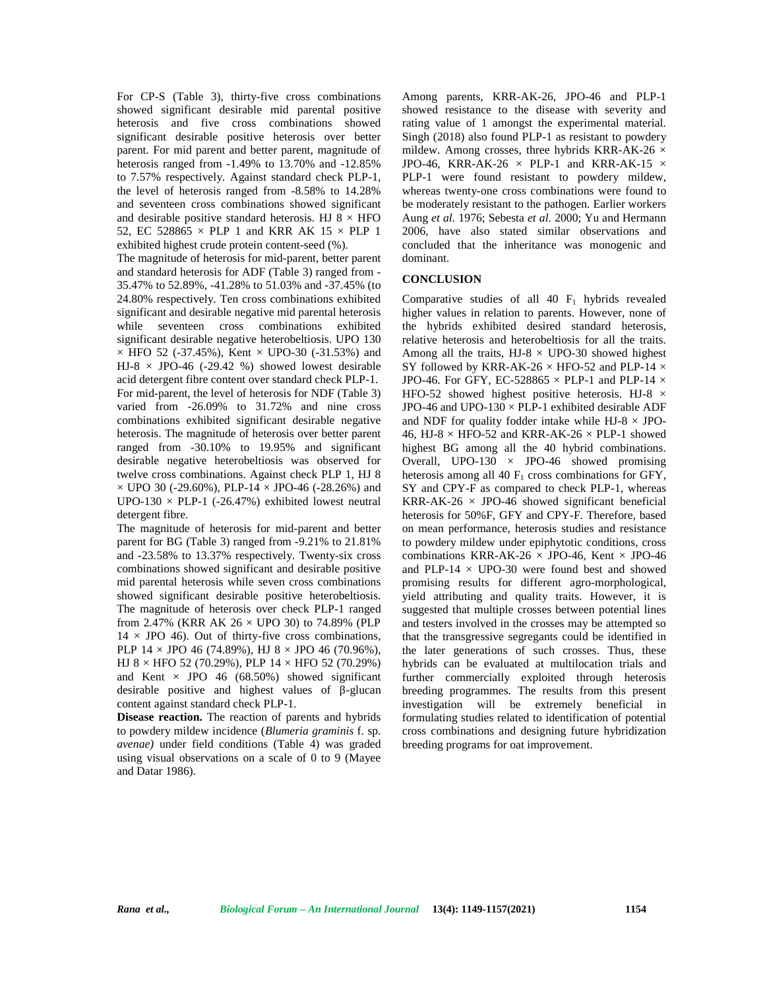For CP-S (Table 3), thirty-five cross combinations showed significant desirable mid parental positive heterosis and five cross combinations showed significant desirable positive heterosis over better parent. For mid parent and better parent, magnitude of heterosis ranged from -1.49% to 13.70% and -12.85% to 7.57% respectively. Against standard check PLP-1, the level of heterosis ranged from -8.58% to 14.28% and seventeen cross combinations showed significant and desirable positive standard heterosis. HJ  $8 \times$  HFO 52, EC 528865  $\times$  PLP 1 and KRR AK 15  $\times$  PLP 1 exhibited highest crude protein content-seed (%).

The magnitude of heterosis for mid-parent, better parent and standard heterosis for ADF (Table 3) ranged from - 35.47% to 52.89%, -41.28% to 51.03% and -37.45% (to 24.80% respectively. Ten cross combinations exhibited significant and desirable negative mid parental heterosis while seventeen cross combinations exhibited significant desirable negative heterobeltiosis. UPO 130  $\times$  HFO 52 (-37.45%), Kent  $\times$  UPO-30 (-31.53%) and HJ-8  $\times$  JPO-46 (-29.42 %) showed lowest desirable acid detergent fibre content over standard check PLP-1. For mid-parent, the level of heterosis for NDF (Table 3) varied from -26.09% to 31.72% and nine cross combinations exhibited significant desirable negative heterosis. The magnitude of heterosis over better parent ranged from -30.10% to 19.95% and significant desirable negative heterobeltiosis was observed for twelve cross combinations. Against check PLP 1, HJ 8  $\times$  UPO 30 (-29.60%), PLP-14  $\times$  JPO-46 (-28.26%) and UPO-130  $\times$  PLP-1 (-26.47%) exhibited lowest neutral detergent fibre.

The magnitude of heterosis for mid-parent and better parent for BG (Table 3) ranged from -9.21% to 21.81% and -23.58% to 13.37% respectively. Twenty-six cross combinations showed significant and desirable positive mid parental heterosis while seven cross combinations showed significant desirable positive heterobeltiosis. The magnitude of heterosis over check PLP-1 ranged from 2.47% (KRR AK  $26 \times$  UPO 30) to 74.89% (PLP  $14 \times$  JPO 46). Out of thirty-five cross combinations, PLP  $14 \times$  JPO 46 (74.89%), HJ 8  $\times$  JPO 46 (70.96%), HJ 8  $\times$  HFO 52 (70.29%), PLP 14  $\times$  HFO 52 (70.29%) and Kent  $\times$  JPO 46 (68.50%) showed significant desirable positive and highest values of -glucan content against standard check PLP-1.

**Disease reaction.** The reaction of parents and hybrids to powdery mildew incidence (*Blumeria graminis* f. sp. *avenae)* under field conditions (Table 4) was graded using visual observations on a scale of 0 to 9 (Mayee and Datar 1986).

Among parents, KRR-AK-26, JPO-46 and PLP-1 showed resistance to the disease with severity and rating value of 1 amongst the experimental material. Singh (2018) also found PLP-1 as resistant to powdery mildew. Among crosses, three hybrids KRR-AK-26  $\times$ JPO-46, KRR-AK-26  $\times$  PLP-1 and KRR-AK-15  $\times$ PLP-1 were found resistant to powdery mildew, whereas twenty-one cross combinations were found to be moderately resistant to the pathogen. Earlier workers Aung *et al.* 1976; Sebesta *et al.* 2000; Yu and Hermann 2006, have also stated similar observations and concluded that the inheritance was monogenic and dominant.

## **CONCLUSION**

Comparative studies of all  $40$  F<sub>1</sub> hybrids revealed higher values in relation to parents. However, none of the hybrids exhibited desired standard heterosis, relative heterosis and heterobeltiosis for all the traits. Among all the traits,  $HJ-8 \times UPO-30$  showed highest SY followed by KRR-AK-26  $\times$  HFO-52 and PLP-14  $\times$ JPO-46. For GFY, EC-528865  $\times$  PLP-1 and PLP-14  $\times$ HFO-52 showed highest positive heterosis. HJ-8  $\times$ JPO-46 and UPO-130  $\times$  PLP-1 exhibited desirable ADF and NDF for quality fodder intake while  $HJ-8 \times JPO-$ 46, HJ-8  $\times$  HFO-52 and KRR-AK-26  $\times$  PLP-1 showed highest BG among all the 40 hybrid combinations. Overall, UPO-130  $\times$  JPO-46 showed promising heterosis among all 40  $F_1$  cross combinations for GFY, SY and CPY-F as compared to check PLP-1, whereas KRR-AK-26  $\times$  JPO-46 showed significant beneficial heterosis for 50%F, GFY and CPY-F. Therefore, based on mean performance, heterosis studies and resistance to powdery mildew under epiphytotic conditions, cross combinations KRR-AK-26  $\times$  JPO-46, Kent  $\times$  JPO-46 and PLP-14  $\times$  UPO-30 were found best and showed promising results for different agro-morphological, yield attributing and quality traits. However, it is suggested that multiple crosses between potential lines and testers involved in the crosses may be attempted so that the transgressive segregants could be identified in the later generations of such crosses. Thus, these hybrids can be evaluated at multilocation trials and further commercially exploited through heterosis breeding programmes. The results from this present investigation will be extremely beneficial in formulating studies related to identification of potential cross combinations and designing future hybridization breeding programs for oat improvement.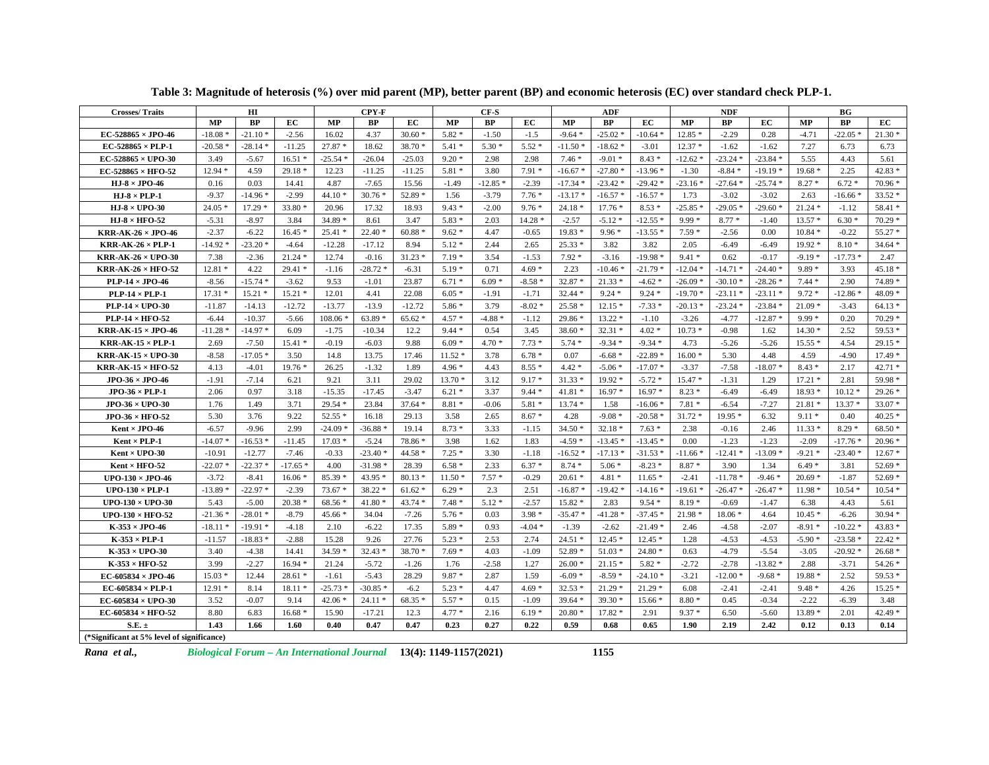| <b>Crosses/Traits</b>                       |           | ΗΙ        |           |           | CPY F     |          |           | $CF-S$    |          |           | ADF       |           | <b>NDF</b> |           |           | BG        |           |          |
|---------------------------------------------|-----------|-----------|-----------|-----------|-----------|----------|-----------|-----------|----------|-----------|-----------|-----------|------------|-----------|-----------|-----------|-----------|----------|
|                                             | <b>MP</b> | <b>BP</b> | EC.       | <b>MP</b> | <b>BP</b> | EC.      | <b>MP</b> | <b>BP</b> | EC       | <b>MP</b> | <b>BP</b> | EC        | <b>MP</b>  | <b>BP</b> | EC.       | <b>MP</b> | <b>BP</b> | EC       |
| EC-528865 $\times$ JPO-46                   | $-18.08$  | $-21.10*$ | $-2.56$   | 16.02     | 4.37      | $30.60*$ | $5.82*$   | $-1.50$   | $-1.5$   | $-9.64*$  | $-25.02*$ | $-10.64*$ | $12.85*$   | $-2.29$   | 0.28      | $-4.71$   | $-22.05*$ | $21.30*$ |
| $EC-528865 \times PLP-1$                    | $-20.58$  | $-28.14*$ | $-11.25$  | $27.87*$  | 18.62     | 38.70 *  | $5.41*$   | $5.30*$   | $5.52*$  | $-11.50*$ | $-18.62*$ | $-3.01$   | $12.37*$   | $-1.62$   | $-1.62$   | 7.27      | 6.73      | 6.73     |
| EC-528865 $\times$ UPO-30                   | 3.49      | $-5.67$   | $16.51*$  | $-25.54*$ | $-26.04$  | $-25.03$ | $9.20*$   | 2.98      | 2.98     | $7.46*$   | $-9.01*$  | $8.43*$   | $-12.62*$  | $-23.24*$ | $-23.84*$ | 5.55      | 4.43      | 5.61     |
| $EC$ -528865 $\times$ HFO-52                | $12.94*$  | 4.59      | $29.18*$  | 12.23     | $-11.25$  | $-11.25$ | $5.81*$   | 3.80      | $7.91*$  | $-16.67*$ | $-27.80*$ | $-13.96*$ | $-1.30$    | $-8.84*$  | $-19.19*$ | $19.68*$  | 2.25      | $42.83*$ |
| HJ $8 \times$ JPO 46                        | 0.16      | 0.03      | 14.41     | 4.87      | $-7.65$   | 15.56    | $-1.49$   | $-12.85$  | $-2.39$  | $-17.34*$ | $-23.42*$ | $-29.42*$ | $-23.16*$  | $-27.64*$ | $-25.74*$ | $8.27*$   | $6.72*$   | $70.96*$ |
| HJ $8 \times$ PLP-1                         | $-9.37$   | $-14.96*$ | $-2.99$   | $44.10*$  | $30.76*$  | 52.89 *  | 1.56      | $-3.79$   | $7.76*$  | $-13.17*$ | $-16.57*$ | $-16.57*$ | 1.73       | $-3.02$   | $-3.02$   | 2.63      | $-16.66*$ | $33.52*$ |
| HJ $8 \times$ UPO 30                        | $24.05*$  | $17.29*$  | $33.80*$  | 20.96     | 17.32     | 18.93    | $9.43*$   | $-2.00$   | $9.76*$  | $24.18*$  | $17.76*$  | $8.53*$   | $-25.85*$  | $-29.05*$ | $-29.60*$ | $21.24*$  | $-1.12$   | 58.41 *  |
| HJ $8 \times$ HFO 52                        | $-5.31$   | $-8.97$   | 3.84      | 34.89 *   | 8.61      | 3.47     | $5.83*$   | 2.03      | 14.28 *  | $-2.57$   | $-5.12*$  | $-12.55*$ | $9.99*$    | $8.77*$   | $-1.40$   | $13.57*$  | $6.30*$   | $70.29*$ |
| <b>KRR-AK-26 <math>\times</math> JPO-46</b> | $-2.37$   | $-6.22$   | $16.45*$  | $25.41*$  | $22.40*$  | $60.88*$ | $9.62*$   | 4.47      | $-0.65$  | $19.83*$  | $9.96*$   | $-13.55*$ | $7.59*$    | $-2.56$   | 0.00      | $10.84*$  | $-0.22$   | $55.27*$ |
| <b>KRR-AK-26 <math>\times</math> PLP-1</b>  | $-14.92*$ | $-23.20*$ | $-4.64$   | $-12.28$  | $-17.12$  | 8.94     | $5.12*$   | 2.44      | 2.65     | $25.33*$  | 3.82      | 3.82      | 2.05       | $-6.49$   | $-6.49$   | $19.92*$  | $8.10*$   | $34.64*$ |
| KRR-AK-26 $\times$ UPO-30                   | 7.38      | $-2.36$   | $21.24*$  | 12.74     | $-0.16$   | $31.23*$ | $7.19*$   | 3.54      | $-1.53$  | $7.92*$   | $-3.16$   | $-19.98*$ | $9.41*$    | 0.62      | $-0.17$   | $-9.19*$  | $-17.73*$ | 2.47     |
| <b>KRR-AK-26 <math>\times</math> HFO-52</b> | $12.81*$  | 4.22      | $29.41*$  | $-1.16$   | $-28.72*$ | $-6.31$  | $5.19*$   | 0.71      | $4.69*$  | 2.23      | $-10.46*$ | $-21.79*$ | $-12.04*$  | $-14.71*$ | $-24.40*$ | $9.89*$   | 3.93      | $45.18*$ |
| PLP-14 $\times$ JPO-46                      | $-8.56$   | $-15.74*$ | $-3.62$   | 9.53      | $-1.01$   | 23.87    | $6.71*$   | $6.09*$   | $-8.58*$ | $32.87*$  | $21.33*$  | $-4.62*$  | $-26.09$   | $-30.10*$ | $-28.26*$ | $7.44*$   | 2.90      | 74.89 *  |
| $PLP-14 \times PLP-1$                       | $17.31*$  | $15.21*$  | $15.21*$  | 12.01     | 4.41      | 22.08    | $6.05*$   | $-1.91$   | $-1.71$  | $32.44*$  | $9.24*$   | $9.24*$   | $-19.70*$  | $-23.11*$ | $-23.11*$ | $9.72*$   | $-12.86$  | 48.09 *  |
| PLP-14 $\times$ UPO-30                      | $-11.87$  | $-14.13$  | $-12.72$  | $-13.77$  | $-13.9$   | $-12.72$ | $5.86*$   | 3.79      | $-8.02*$ | $25.58*$  | $12.15*$  | $-7.33*$  | $-20.13*$  | $-23.24*$ | $-23.84*$ | $21.09*$  | $-3.43$   | $64.13*$ |
| PLP-14 $\times$ HFO-52                      | $-6.44$   | $-10.37$  | $-5.66$   | $108.06*$ | $63.89*$  | $65.62*$ | $4.57 *$  | $-4.88*$  | $-1.12$  | 29.86 *   | $13.22*$  | $-1.10$   | $-3.26$    | $-4.77$   | $-12.87*$ | $9.99*$   | 0.20      | $70.29*$ |
| <b>KRR-AK-15 <math>\times</math> JPO-46</b> | $-11.28*$ | $-14.97*$ | 6.09      | $-1.75$   | $-10.34$  | 12.2     | $9.44*$   | 0.54      | 3.45     | $38.60*$  | $32.31*$  | $4.02*$   | $10.73*$   | $-0.98$   | 1.62      | $14.30*$  | 2.52      | 59.53 *  |
| <b>KRR-AK-15 <math>\times</math> PLP-1</b>  | 2.69      | $-7.50$   | $15.41*$  | $-0.19$   | $-6.03$   | 9.88     | $6.09*$   | $4.70*$   | $7.73*$  | $5.74*$   | $-9.34*$  | $-9.34*$  | 4.73       | $-5.26$   | $-5.26$   | $15.55*$  | 4.54      | $29.15*$ |
| <b>KRR-AK-15 <math>\times</math> UPO-30</b> | $-8.58$   | $-17.05*$ | 3.50      | 14.8      | 13.75     | 17.46    | $11.52*$  | 3.78      | $6.78*$  | 0.07      | $-6.68*$  | $-22.89*$ | $16.00*$   | 5.30      | 4.48      | 4.59      | $-4.90$   | $17.49*$ |
| <b>KRR-AK-15 <math>\times</math> HFO-52</b> | 4.13      | $-4.01$   | $19.76*$  | 26.25     | $-1.32$   | 1.89     | $4.96*$   | 4.43      | $8.55*$  | $4.42*$   | $-5.06*$  | $-17.07*$ | $-3.37$    | $-7.58$   | $-18.07*$ | $8.43*$   | 2.17      | $42.71*$ |
| JPO $36 \times$ JPO 46                      | $-1.91$   | $-7.14$   | 6.21      | 9.21      | 3.11      | 29.02    | $13.70*$  | 3.12      | $9.17*$  | $31.33*$  | $19.92*$  | $-5.72*$  | $15.47*$   | $-1.31$   | 1.29      | $17.21*$  | 2.81      | 59.98 *  |
| JPO $36 \times$ PLP 1                       | 2.06      | 0.97      | 3.18      | $-15.35$  | $-17.45$  | $-3.47$  | $6.21*$   | 3.37      | $9.44*$  | $41.81*$  | $16.97*$  | $16.97*$  | $8.23*$    | $-6.49$   | $-6.49$   | $18.93*$  | $10.12*$  | $29.26*$ |
| JPO-36 $\times$ UPO-30                      | 1.76      | 1.49      | 3.71      | $29.54*$  | 23.84     | $37.64*$ | $8.81*$   | $-0.06$   | $5.81*$  | $13.74*$  | 1.58      | $-16.06*$ | $7.81*$    | $-6.54$   | $-7.27$   | $21.81*$  | $13.37*$  | $33.07*$ |
| JPO 36 × HFO 52                             | 5.30      | 3.76      | 9.22      | $52.55*$  | 16.18     | 29.13    | 3.58      | 2.65      | $8.67*$  | 4.28      | $-9.08*$  | $-20.58*$ | $31.72*$   | $19.95*$  | 6.32      | $9.11*$   | 0.40      | $40.25*$ |
| $Kent \times JPO-46$                        | $-6.57$   | $-9.96$   | 2.99      | $-24.09*$ | $-36.88*$ | 19.14    | $8.73*$   | 3.33      | $-1.15$  | $34.50*$  | $32.18*$  | $7.63*$   | 2.38       | $-0.16$   | 2.46      | $11.33*$  | $8.29*$   | $68.50*$ |
| $Kent \times PLP-1$                         | $-14.07$  | $-16.53*$ | $-11.45$  | $17.03*$  | $-5.24$   | 78.86 *  | 3.98      | 1.62      | 1.83     | $-4.59*$  | $-13.45*$ | $-13.45*$ | 0.00       | $-1.23$   | $-1.23$   | $-2.09$   | $-17.76*$ | $20.96*$ |
| $Kent \times UPO-30$                        | $-10.91$  | $-12.77$  | $-7.46$   | $-0.33$   | $-23.40*$ | $44.58*$ | $7.25*$   | 3.30      | $-1.18$  | $-16.52*$ | $-17.13*$ | $-31.53*$ | $-11.66*$  | $-12.41*$ | $-13.09*$ | $-9.21*$  | $-23.40*$ | $12.67*$ |
| Kent $\times$ HFO-52                        | $-22.07*$ | $-22.37*$ | $-17.65*$ | 4.00      | $-31.98*$ | 28.39    | $6.58*$   | 2.33      | $6.37 *$ | $8.74*$   | $5.06*$   | $-8.23*$  | $8.87*$    | 3.90      | 1.34      | $6.49*$   | 3.81      | $52.69*$ |
| UPO-130 $\times$ JPO-46                     | $-3.72$   | $-8.41$   | $16.06*$  | $85.39*$  | 43.95 *   | $80.13*$ | $11.50*$  | $7.57*$   | $-0.29$  | $20.61*$  | $4.81*$   | $11.65*$  | $-2.41$    | $-11.78*$ | $-9.46*$  | $20.69*$  | $-1.87$   | $52.69*$ |
| UPO-130 $\times$ PLP-1                      | $-13.89*$ | $-22.97*$ | $-2.39$   | $73.67*$  | 38.22 *   | $61.62*$ | $6.29*$   | 2.3       | 2.51     | $-16.87*$ | $-19.42*$ | $-14.16*$ | $-19.61*$  | $-26.47*$ | $-26.47*$ | $11.98*$  | $10.54*$  | $10.54*$ |
| UPO-130 $\times$ UPO-30                     | 5.43      | $-5.00$   | $20.38*$  | $68.56*$  | $41.80*$  | $43.74*$ | $7.48*$   | $5.12*$   | $-2.57$  | $15.82*$  | 2.83      | $9.54*$   | $8.19*$    | $-0.69$   | $-1.47$   | 6.38      | 4.43      | 5.61     |
| UPO-130 $\times$ HFO-52                     | $-21.36*$ | $-28.01*$ | $-8.79$   | $45.66*$  | 34.04     | $-7.26$  | $5.76*$   | 0.03      | $3.98*$  | $-35.47*$ | $-41.28*$ | $-37.45*$ | $21.98*$   | $18.06*$  | 4.64      | $10.45*$  | $-6.26$   | $30.94*$ |
| K $-353 \times JPO$ 46                      | $-18.11*$ | $-19.91*$ | $-4.18$   | 2.10      | $-6.22$   | 17.35    | 5.89 *    | 0.93      | $-4.04*$ | $-1.39$   | $-2.62$   | $-21.49*$ | 2.46       | $-4.58$   | $-2.07$   | $-8.91*$  | $-10.22*$ | 43.83 *  |
| $K-353 \times PLP-1$                        | $-11.57$  | $-18.83*$ | $-2.88$   | 15.28     | 9.26      | 27.76    | $5.23*$   | 2.53      | 2.74     | $24.51*$  | $12.45*$  | $12.45*$  | 1.28       | $-4.53$   | $-4.53$   | $-5.90*$  | $-23.58*$ | $22.42*$ |
| $K-353 \times UPO-30$                       | 3.40      | $-4.38$   | 14.41     | $34.59*$  | $32.43*$  | $38.70*$ | $7.69*$   | 4.03      | $-1.09$  | 52.89 *   | $51.03*$  | $24.80*$  | 0.63       | $-4.79$   | $-5.54$   | $-3.05$   | $-20.92*$ | $26.68*$ |
| K $353 \times$ HFO 52                       | 3.99      | $-2.27$   | $16.94*$  | 21.24     | $-5.72$   | $-1.26$  | 1.76      | $-2.58$   | 1.27     | $26.00*$  | $21.15*$  | $5.82*$   | $-2.72$    | $-2.78$   | $-13.82*$ | 2.88      | $-3.71$   | $54.26*$ |
| EC-605834 $\times$ JPO-46                   | $15.03*$  | 12.44     | $28.61*$  | $-1.61$   | $-5.43$   | 28.29    | $9.87*$   | 2.87      | 1.59     | $-6.09*$  | $-8.59*$  | $-24.10*$ | $-3.21$    | $-12.00*$ | $-9.68*$  | 19.88 *   | 2.52      | 59.53 *  |
| $EC-605834 \times PLP-1$                    | $12.91*$  | 8.14      | $18.11*$  | $-25.73*$ | $-30.85*$ | $-6.2$   | $5.23*$   | 4.47      | $4.69*$  | $32.53*$  | $21.29*$  | $21.29*$  | 6.08       | $-2.41$   | $-2.41$   | $9.48*$   | 4.26      | $15.25*$ |
| EC-605834 $\times$ UPO-30                   | 3.52      | $-0.07$   | 9.14      | $42.06*$  | $24.11*$  | $68.35*$ | $5.57*$   | 0.15      | $-1.09$  | $39.64*$  | $39.30*$  | $15.66*$  | $8.80*$    | 0.45      | $-0.34$   | $-2.22$   | $-6.39$   | 3.48     |
| EC-605834 $\times$ HFO-52                   | 8.80      | 6.83      | $16.68*$  | 15.90     | $-17.21$  | 12.3     | $4.77*$   | 2.16      | $6.19*$  | $20.80*$  | $17.82*$  | 2.91      | $9.37*$    | 6.50      | $-5.60$   | $13.89*$  | 2.01      | 42.49 *  |
| $S.E. \pm$                                  | 1.43      | 1.66      | 1.60      | 0.40      | 0.47      | 0.47     | 0.23      | 0.27      | 0.22     | 0.59      | 0.68      | 0.65      | 1.90       | 2.19      | 2.42      | 0.12      | 0.13      | 0.14     |
| (*Significant at 5% level of significance)  |           |           |           |           |           |          |           |           |          |           |           |           |            |           |           |           |           |          |

**Table 3: Magnitude of heterosis (%) over mid parent (MP), better parent (BP) and economic heterosis (EC) over standard check PLP-1.**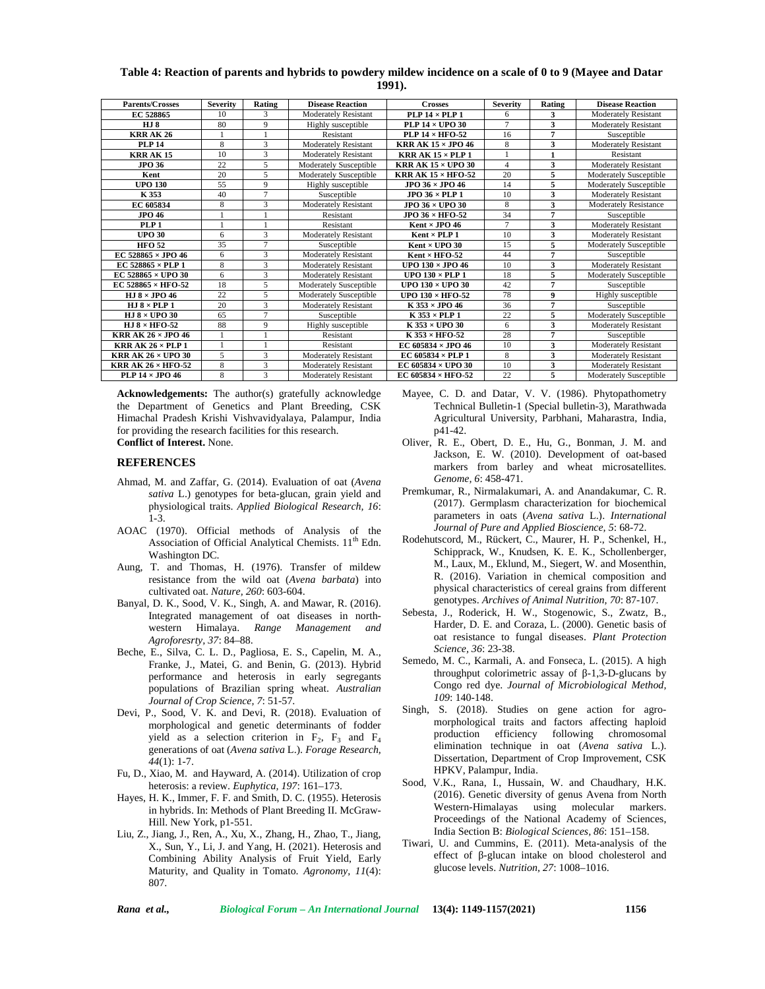### **Table 4: Reaction of parents and hybrids to powdery mildew incidence on a scale of 0 to 9 (Mayee and Datar 1991).**

| <b>Parents/Crosses</b>                      | <b>Severity</b> | Rating         | <b>Disease Reaction</b>       | <b>Crosses</b>                              | <b>Severity</b> | Rating | <b>Disease Reaction</b>       |
|---------------------------------------------|-----------------|----------------|-------------------------------|---------------------------------------------|-----------------|--------|-------------------------------|
| EC 528865                                   | 10              | 3              | <b>Moderately Resistant</b>   | $PLP 14 \times PLP 1$                       | 6               | 3      | <b>Moderately Resistant</b>   |
| <b>HJ8</b>                                  | 80              | 9              | Highly susceptible            | PLP $14 \times$ UPO 30                      | $\overline{7}$  | 3      | <b>Moderately Resistant</b>   |
| <b>KRR AK 26</b>                            |                 |                | Resistant                     | PLP $14 \times$ HFO-52                      | 16              | 7      | Susceptible                   |
| <b>PLP 14</b>                               | 8               | 3              | <b>Moderately Resistant</b>   | <b>KRR AK <math>15 \times</math> JPO 46</b> | 8               | 3      | <b>Moderately Resistant</b>   |
| <b>KRR AK 15</b>                            | 10              | 3              | <b>Moderately Resistant</b>   | <b>KRR AK 15 <math>\times</math> PLP 1</b>  |                 |        | Resistant                     |
| <b>JPO 36</b>                               | 22              | 5              | <b>Moderately Susceptible</b> | <b>KRR AK 15 <math>\times</math> UPO 30</b> | $\overline{4}$  | 3      | <b>Moderately Resistant</b>   |
| Kent                                        | 20              | 5              | Moderately Susceptible        | <b>KRR AK <math>15 \times</math> HFO-52</b> | 20              | 5      | Moderately Susceptible        |
| <b>UPO 130</b>                              | 55              | $\mathbf Q$    | Highly susceptible            | $JPO$ 36 $\times$ JPO 46                    | 14              | 5      | <b>Moderately Susceptible</b> |
| K 353                                       | 40              | $\overline{7}$ | Susceptible                   | JPO $36 \times$ PLP 1                       | 10              | 3      | <b>Moderately Resistant</b>   |
| EC 605834                                   | 8               | 3              | <b>Moderately Resistant</b>   | <b>JPO 36 × UPO 30</b>                      | 8               | 3      | <b>Moderately Resistance</b>  |
| <b>JPO 46</b>                               |                 |                | Resistant                     | JPO $36 \times$ HFO $52$                    | 34              | 7      | Susceptible                   |
| PLP <sub>1</sub>                            |                 |                | Resistant                     | Kent $\times$ JPO 46                        | $\tau$          | 3      | <b>Moderately Resistant</b>   |
| <b>UPO 30</b>                               | 6               | 3              | <b>Moderately Resistant</b>   | $Kent \times PLP1$                          | 10              | 3      | <b>Moderately Resistant</b>   |
| <b>HFO 52</b>                               | 35              | $\overline{7}$ | Susceptible                   | $Kent \times UPO 30$                        | 15              | 5      | Moderately Susceptible        |
| EC 528865 $\times$ JPO 46                   | 6               | 3              | <b>Moderately Resistant</b>   | $Kent \times HFO-52$                        | 44              | 7      | Susceptible                   |
| EC 528865 $\times$ PLP 1                    | 8               | 3              | <b>Moderately Resistant</b>   | UPO $130 \times$ JPO 46                     | 10              | 3      | <b>Moderately Resistant</b>   |
| EC 528865 $\times$ UPO 30                   | 6               | 3              | <b>Moderately Resistant</b>   | UPO $130 \times$ PLP 1                      | 18              | 5      | <b>Moderately Susceptible</b> |
| $EC$ 528865 $\times$ HFO-52                 | 18              | 5              | <b>Moderately Susceptible</b> | UPO $130 \times$ UPO 30                     | 42              | 7      | Susceptible                   |
| HJ $8 \times$ JPO 46                        | 22              | 5              | <b>Moderately Susceptible</b> | UPO $130 \times$ HFO-52                     | 78              | 9      | Highly susceptible            |
| HJ $8 \times$ PLP 1                         | 20              | 3              | <b>Moderately Resistant</b>   | $K$ 353 $\times$ JPO 46                     | 36              | 7      | Susceptible                   |
| HJ $8 \times$ UPO 30                        | 65              | $\overline{7}$ | Susceptible                   | $K$ 353 $\times$ PLP 1                      | 22              | 5      | <b>Moderately Susceptible</b> |
| HJ $8 \times$ HFO 52                        | 88              | 9              | Highly susceptible            | $K$ 353 $\times$ UPO 30                     | 6               | 3      | <b>Moderately Resistant</b>   |
| <b>KRR AK 26 <math>\times</math> JPO 46</b> |                 |                | Resistant                     | $K$ 353 $\times$ HFO-52                     | 28              | 7      | Susceptible                   |
| <b>KRR AK 26 <math>\times</math> PLP 1</b>  |                 |                | Resistant                     | EC 605834 $\times$ JPO 46                   | 10              | 3      | <b>Moderately Resistant</b>   |
| <b>KRR AK 26 × UPO 30</b>                   | 5               | 3              | <b>Moderately Resistant</b>   | EC 605834 $\times$ PLP 1                    | 8               | 3      | <b>Moderately Resistant</b>   |
| <b>KRR AK 26 × HFO-52</b>                   | 8               | 3              | <b>Moderately Resistant</b>   | EC 605834 $\times$ UPO 30                   | 10              | 3      | <b>Moderately Resistant</b>   |
| PLP $14 \times$ JPO 46                      | 8               | 3              | <b>Moderately Resistant</b>   | EC 605834 $\times$ HFO-52                   | 22              | 5      | Moderately Susceptible        |

**Acknowledgements:** The author(s) gratefully acknowledge the Department of Genetics and Plant Breeding, CSK Himachal Pradesh Krishi Vishvavidyalaya, Palampur, India for providing the research facilities for this research. **Conflict of Interest.** None.

#### **REFERENCES**

- Ahmad, M. and Zaffar, G. (2014). Evaluation of oat (*Avena sativa* L.) genotypes for beta-glucan, grain yield and physiological traits. *Applied Biological Research, 16*: 1-3.
- AOAC (1970). Official methods of Analysis of the Association of Official Analytical Chemists.  $11<sup>th</sup>$  Edn. Washington DC
- Aung, T. and Thomas, H. (1976). Transfer of mildew resistance from the wild oat (*Avena barbata*) into cultivated oat. *Nature, 260*: 603-604.
- Banyal, D. K., Sood, V. K., Singh, A. and Mawar, R. (2016). Integrated management of oat diseases in north western Himalaya. *Range Management and Agroforesrty, 37*: 84–88.
- Beche, E., Silva, C. L. D., Pagliosa, E. S., Capelin, M. A., Franke, J., Matei, G. and Benin, G. (2013). Hybrid performance and heterosis in early segregants populations of Brazilian spring wheat. *Australian Journal of Crop Science, 7*: 51-57.
- Devi, P., Sood, V. K. and Devi, R. (2018). Evaluation of morphological and genetic determinants of fodder yield as a selection criterion in  $F_2$ ,  $F_3$  and  $F_4$ generations of oat (*Avena sativa* L.). *Forage Research, 44*(1): 1-7.
- Fu, D., Xiao, M. and Hayward, A. (2014). Utilization of crop heterosis: a review. *Euphytica, 197*: 161–173.
- Hayes, H. K., Immer, F. F. and Smith, D. C. (1955). Heterosis in hybrids. In: Methods of Plant Breeding II. McGraw- Hill. New York, p1-551.
- Liu, Z., Jiang, J., Ren, A., Xu, X., Zhang, H., Zhao, T., Jiang, X., Sun, Y., Li, J. and Yang, H. (2021). Heterosis and Combining Ability Analysis of Fruit Yield, Early Maturity, and Quality in Tomato. *Agronomy, 11*(4): 807.
- Mayee, C. D. and Datar, V. V. (1986). Phytopathometry Technical Bulletin-1 (Special bulletin-3), Marathwada Agricultural University, Parbhani, Maharastra, India, p41-42.
- Oliver, R. E., Obert, D. E., Hu, G., Bonman, J. M. and Jackson, E. W. (2010). Development of oat-based markers from barley and wheat microsatellites. *Genome, 6*: 458-471.
- Premkumar, R., Nirmalakumari, A. and Anandakumar, C. R. (2017). Germplasm characterization for biochemical parameters in oats (*Avena sativa* L.).*International Journal of Pure and Applied Bioscience, 5*: 68-72.
- Rodehutscord, M., Rückert, C., Maurer, H. P., Schenkel, H., Schipprack, W., Knudsen, K. E. K., Schollenberger, M., Laux, M., Eklund, M., Siegert, W. and Mosenthin, R. (2016). Variation in chemical composition and physical characteristics of cereal grains from different genotypes. *Archives of Animal Nutrition, 70*: 87-107.
- Sebesta, J., Roderick, H. W., Stogenowic, S., Zwatz, B., Harder, D. E. and Coraza, L. (2000). Genetic basis of oat resistance to fungal diseases. *Plant Protection Science, 36*: 23-38.
- Semedo, M. C., Karmali, A. and Fonseca, L. (2015). A high throughput colorimetric assay of -1,3-D-glucans by Congo red dye. *Journal of Microbiological Method, 109*: 140-148.
- Singh, S. (2018). Studies on gene action for agro morphological traits and factors affecting haploid production efficiency following chromosomal elimination technique in oat (*Avena sativa* L.). Dissertation, Department of Crop Improvement, CSK HPKV, Palampur, India.
- Sood, V.K., Rana, I., Hussain, W. and Chaudhary, H.K. (2016). Genetic diversity of genus Avena from North Western-Himalayas using molecular markers. Proceedings of the National Academy of Sciences, India Section B: *Biological Sciences, 86*: 151–158.
- Tiwari, U. and Cummins, E. (2011). Meta-analysis of the effect of -glucan intake on blood cholesterol and glucose levels. *Nutrition, 27*: 1008–1016.